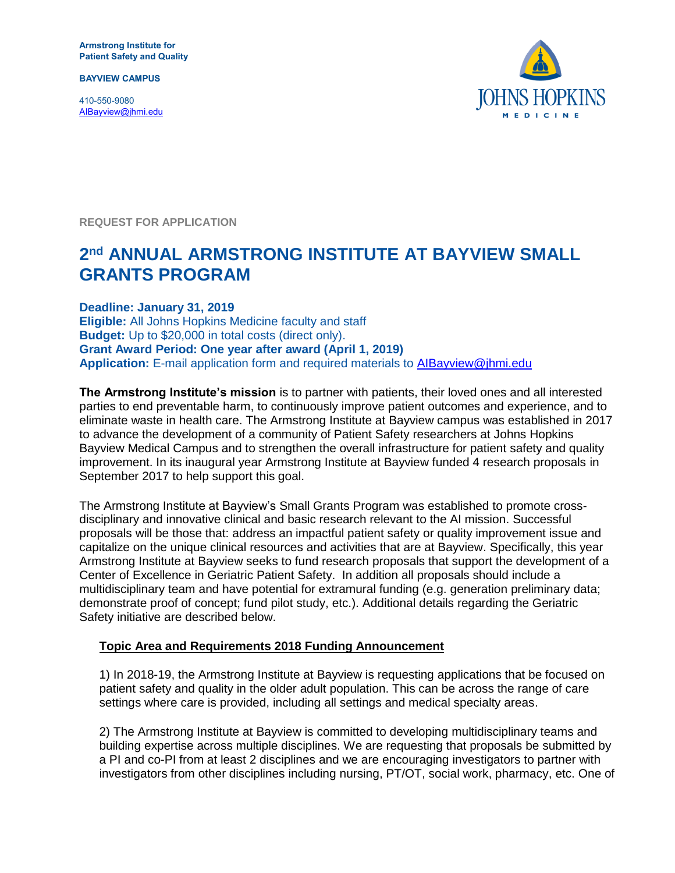**Armstrong Institute for Patient Safety and Quality**

**BAYVIEW CAMPUS**

410-550-9080 [AIBayview@jhmi.edu](mailto:AIBayview@jhmi.edu)



**REQUEST FOR APPLICATION**

# **2 nd ANNUAL ARMSTRONG INSTITUTE AT BAYVIEW SMALL GRANTS PROGRAM**

**Deadline: January 31, 2019 Eligible:** All Johns Hopkins Medicine faculty and staff **Budget:** Up to \$20,000 in total costs (direct only). **Grant Award Period: One year after award (April 1, 2019) Application:** E-mail application form and required materials to [AIBayview@jhmi.edu](mailto:AIBayview@jhmi.edu)

**The Armstrong Institute's mission** is to partner with patients, their loved ones and all interested parties to end preventable harm, to continuously improve patient outcomes and experience, and to eliminate waste in health care. The Armstrong Institute at Bayview campus was established in 2017 to advance the development of a community of Patient Safety researchers at Johns Hopkins Bayview Medical Campus and to strengthen the overall infrastructure for patient safety and quality improvement. In its inaugural year Armstrong Institute at Bayview funded 4 research proposals in September 2017 to help support this goal.

The Armstrong Institute at Bayview's Small Grants Program was established to promote crossdisciplinary and innovative clinical and basic research relevant to the AI mission. Successful proposals will be those that: address an impactful patient safety or quality improvement issue and capitalize on the unique clinical resources and activities that are at Bayview. Specifically, this year Armstrong Institute at Bayview seeks to fund research proposals that support the development of a Center of Excellence in Geriatric Patient Safety. In addition all proposals should include a multidisciplinary team and have potential for extramural funding (e.g. generation preliminary data; demonstrate proof of concept; fund pilot study, etc.). Additional details regarding the Geriatric Safety initiative are described below.

#### **Topic Area and Requirements 2018 Funding Announcement**

1) In 2018-19, the Armstrong Institute at Bayview is requesting applications that be focused on patient safety and quality in the older adult population. This can be across the range of care settings where care is provided, including all settings and medical specialty areas.

2) The Armstrong Institute at Bayview is committed to developing multidisciplinary teams and building expertise across multiple disciplines. We are requesting that proposals be submitted by a PI and co-PI from at least 2 disciplines and we are encouraging investigators to partner with investigators from other disciplines including nursing, PT/OT, social work, pharmacy, etc. One of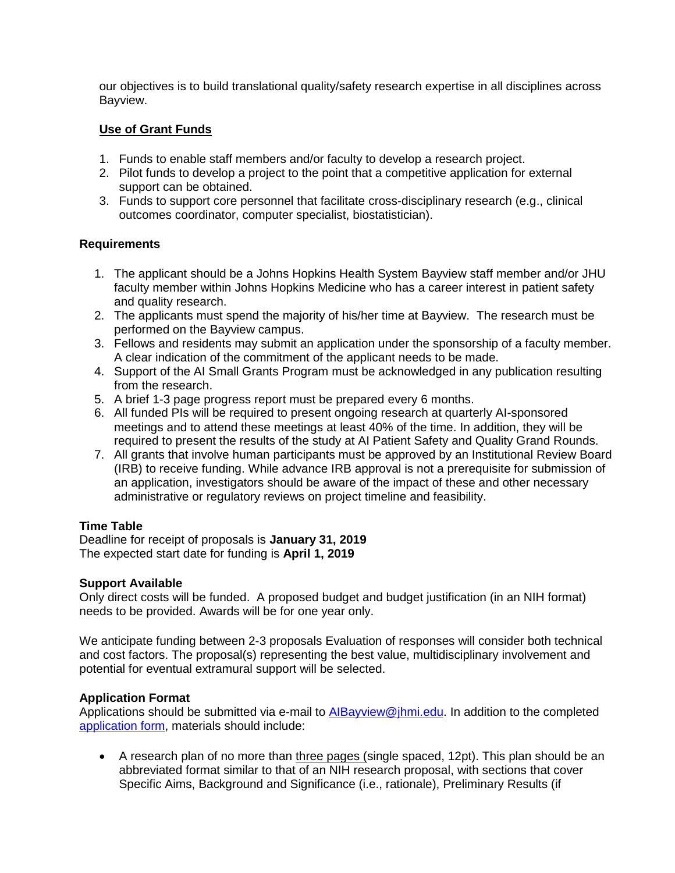our objectives is to build translational quality/safety research expertise in all disciplines across Bayview.

## **Use of Grant Funds**

- 1. Funds to enable staff members and/or faculty to develop a research project.
- 2. Pilot funds to develop a project to the point that a competitive application for external support can be obtained.
- 3. Funds to support core personnel that facilitate cross-disciplinary research (e.g., clinical outcomes coordinator, computer specialist, biostatistician).

## **Requirements**

- 1. The applicant should be a Johns Hopkins Health System Bayview staff member and/or JHU faculty member within Johns Hopkins Medicine who has a career interest in patient safety and quality research.
- 2. The applicants must spend the majority of his/her time at Bayview. The research must be performed on the Bayview campus.
- 3. Fellows and residents may submit an application under the sponsorship of a faculty member. A clear indication of the commitment of the applicant needs to be made.
- 4. Support of the AI Small Grants Program must be acknowledged in any publication resulting from the research.
- 5. A brief 1-3 page progress report must be prepared every 6 months.
- 6. All funded PIs will be required to present ongoing research at quarterly AI-sponsored meetings and to attend these meetings at least 40% of the time. In addition, they will be required to present the results of the study at AI Patient Safety and Quality Grand Rounds.
- 7. All grants that involve human participants must be approved by an Institutional Review Board (IRB) to receive funding. While advance IRB approval is not a prerequisite for submission of an application, investigators should be aware of the impact of these and other necessary administrative or regulatory reviews on project timeline and feasibility.

## **Time Table**

Deadline for receipt of proposals is **January 31, 2019** The expected start date for funding is **April 1, 2019**

## **Support Available**

Only direct costs will be funded. A proposed budget and budget justification (in an NIH format) needs to be provided. Awards will be for one year only.

We anticipate funding between 2-3 proposals Evaluation of responses will consider both technical and cost factors. The proposal(s) representing the best value, multidisciplinary involvement and potential for eventual extramural support will be selected.

## **Application Format**

Applications should be submitted via e-mail to [AIBayview@jhmi.edu.](mailto:AIBayview@jhmi.edu) In addition to the completed [application form,](http://www.hopkinsmedicine.org/armstrong_institute/downloads/small_grants_application.docx) materials should include:

 A research plan of no more than three pages (single spaced, 12pt). This plan should be an abbreviated format similar to that of an NIH research proposal, with sections that cover Specific Aims, Background and Significance (i.e., rationale), Preliminary Results (if